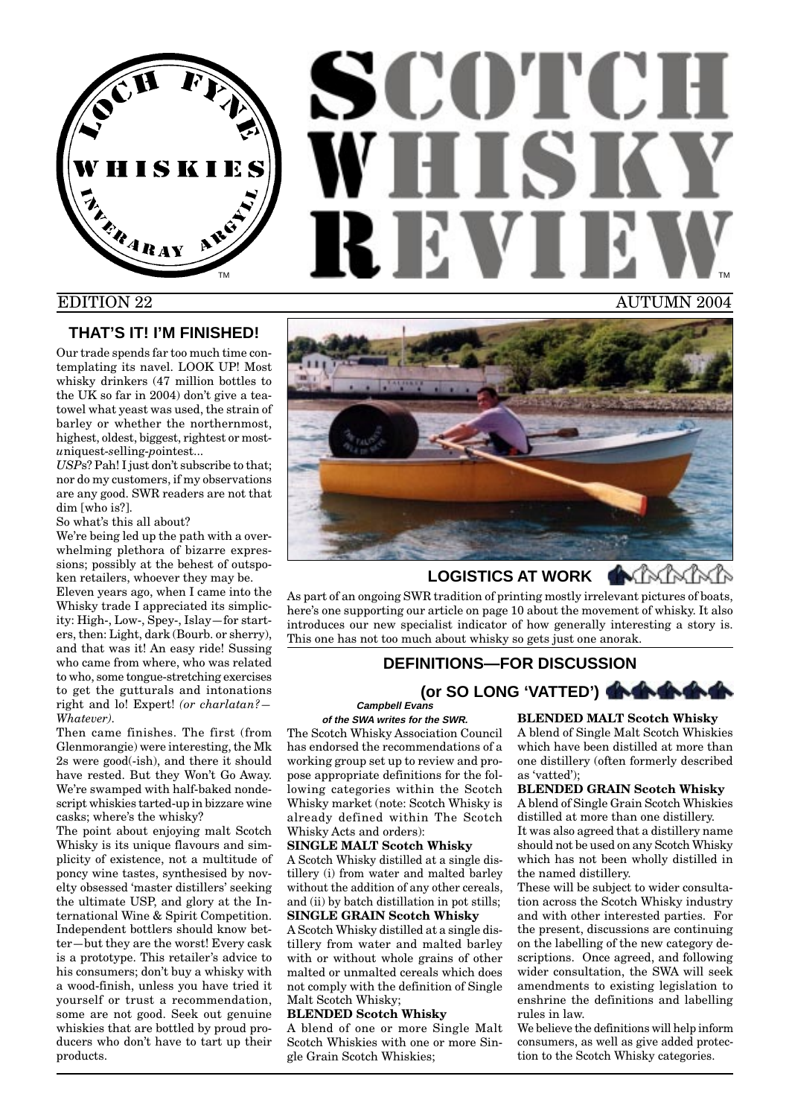

# SCOTCH WHISKY RIEVI TM **THE REPORT OF STATE OF STATE OF STATE OF STATE OF STATE OF STATE OF STATE OF STATE OF STATE OF STATE OF STATE OF STATE OF STATE OF STATE OF STATE OF STATE OF STATE OF STATE OF STATE OF STATE OF STATE OF STATE OF STATE**

## **THAT'S IT! I'M FINISHED!**

Our trade spends far too much time contemplating its navel. LOOK UP! Most whisky drinkers (47 million bottles to the UK so far in 2004) don't give a teatowel what yeast was used, the strain of barley or whether the northernmost, highest, oldest, biggest, rightest or most*u*niquest-*s*elling-*p*ointest...

*USP*s? Pah! I just don't subscribe to that; nor do my customers, if my observations are any good. SWR readers are not that dim [who is?].

So what's this all about?

We're being led up the path with a overwhelming plethora of bizarre expressions; possibly at the behest of outspoken retailers, whoever they may be.

Eleven years ago, when I came into the Whisky trade I appreciated its simplicity: High-, Low-, Spey-, Islay—for starters, then: Light, dark (Bourb. or sherry), and that was it! An easy ride! Sussing who came from where, who was related to who, some tongue-stretching exercises to get the gutturals and intonations right and lo! Expert! *(or charlatan?— Whatever).*

Then came finishes. The first (from Glenmorangie) were interesting, the Mk 2s were good(-ish), and there it should have rested. But they Won't Go Away. We're swamped with half-baked nondescript whiskies tarted-up in bizzare wine casks; where's the whisky?

The point about enjoying malt Scotch Whisky is its unique flavours and simplicity of existence, not a multitude of poncy wine tastes, synthesised by novelty obsessed 'master distillers' seeking the ultimate USP, and glory at the International Wine & Spirit Competition. Independent bottlers should know better—but they are the worst! Every cask is a prototype. This retailer's advice to his consumers; don't buy a whisky with a wood-finish, unless you have tried it yourself or trust a recommendation, some are not good. Seek out genuine whiskies that are bottled by proud producers who don't have to tart up their products.



**LOGISTICS AT WORK** 

As part of an ongoing SWR tradition of printing mostly irrelevant pictures of boats, here's one supporting our article on page 10 about the movement of whisky. It also introduces our new specialist indicator of how generally interesting a story is. This one has not too much about whisky so gets just one anorak.

## **DEFINITIONS—FOR DISCUSSION**

## **(or SO LONG 'VATTED')**

**Campbell Evans of the SWA writes for the SWR.**

The Scotch Whisky Association Council has endorsed the recommendations of a working group set up to review and propose appropriate definitions for the following categories within the Scotch Whisky market (note: Scotch Whisky is already defined within The Scotch Whisky Acts and orders):

## **SINGLE MALT Scotch Whisky**

A Scotch Whisky distilled at a single distillery (i) from water and malted barley without the addition of any other cereals, and (ii) by batch distillation in pot stills; **SINGLE GRAIN Scotch Whisky**

A Scotch Whisky distilled at a single distillery from water and malted barley with or without whole grains of other malted or unmalted cereals which does not comply with the definition of Single Malt Scotch Whisky;

## **BLENDED Scotch Whisky**

A blend of one or more Single Malt Scotch Whiskies with one or more Single Grain Scotch Whiskies;

## **BLENDED MALT Scotch Whisky**

A blend of Single Malt Scotch Whiskies which have been distilled at more than one distillery (often formerly described as 'vatted');

## **BLENDED GRAIN Scotch Whisky**

A blend of Single Grain Scotch Whiskies distilled at more than one distillery. It was also agreed that a distillery name should not be used on any Scotch Whisky which has not been wholly distilled in the named distillery.

These will be subject to wider consultation across the Scotch Whisky industry and with other interested parties. For the present, discussions are continuing on the labelling of the new category descriptions. Once agreed, and following wider consultation, the SWA will seek amendments to existing legislation to enshrine the definitions and labelling rules in law.

We believe the definitions will help inform consumers, as well as give added protection to the Scotch Whisky categories.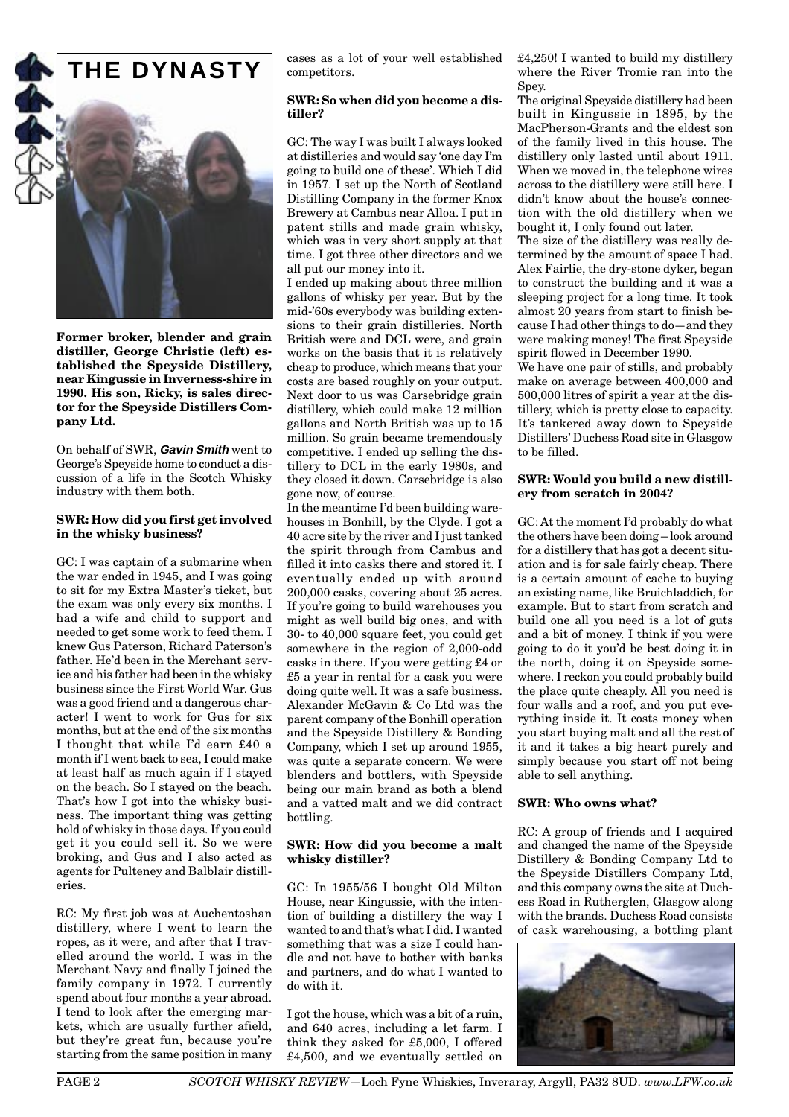



**Former broker, blender and grain distiller, George Christie (left) established the Speyside Distillery, near Kingussie in Inverness-shire in 1990. His son, Ricky, is sales director for the Speyside Distillers Company Ltd.**

On behalf of SWR, **Gavin Smith** went to George's Speyside home to conduct a discussion of a life in the Scotch Whisky industry with them both.

#### **SWR: How did you first get involved in the whisky business?**

GC: I was captain of a submarine when the war ended in 1945, and I was going to sit for my Extra Master's ticket, but the exam was only every six months. I had a wife and child to support and needed to get some work to feed them. I knew Gus Paterson, Richard Paterson's father. He'd been in the Merchant service and his father had been in the whisky business since the First World War. Gus was a good friend and a dangerous character! I went to work for Gus for six months, but at the end of the six months I thought that while I'd earn £40 a month if I went back to sea, I could make at least half as much again if I stayed on the beach. So I stayed on the beach. That's how I got into the whisky business. The important thing was getting hold of whisky in those days. If you could get it you could sell it. So we were broking, and Gus and I also acted as agents for Pulteney and Balblair distilleries.

RC: My first job was at Auchentoshan distillery, where I went to learn the ropes, as it were, and after that I travelled around the world. I was in the Merchant Navy and finally I joined the family company in 1972. I currently spend about four months a year abroad. I tend to look after the emerging markets, which are usually further afield, but they're great fun, because you're starting from the same position in many cases as a lot of your well established competitors.

## **SWR: So when did you become a distiller?**

GC: The way I was built I always looked at distilleries and would say 'one day I'm going to build one of these'. Which I did in 1957. I set up the North of Scotland Distilling Company in the former Knox Brewery at Cambus near Alloa. I put in patent stills and made grain whisky, which was in very short supply at that time. I got three other directors and we all put our money into it.

I ended up making about three million gallons of whisky per year. But by the mid-'60s everybody was building extensions to their grain distilleries. North British were and DCL were, and grain works on the basis that it is relatively cheap to produce, which means that your costs are based roughly on your output. Next door to us was Carsebridge grain distillery, which could make 12 million gallons and North British was up to 15 million. So grain became tremendously competitive. I ended up selling the distillery to DCL in the early 1980s, and they closed it down. Carsebridge is also gone now, of course.

In the meantime I'd been building warehouses in Bonhill, by the Clyde. I got a 40 acre site by the river and I just tanked the spirit through from Cambus and filled it into casks there and stored it. I eventually ended up with around 200,000 casks, covering about 25 acres. If you're going to build warehouses you might as well build big ones, and with 30- to 40,000 square feet, you could get somewhere in the region of 2,000-odd casks in there. If you were getting £4 or £5 a year in rental for a cask you were doing quite well. It was a safe business. Alexander McGavin & Co Ltd was the parent company of the Bonhill operation and the Speyside Distillery & Bonding Company, which I set up around 1955, was quite a separate concern. We were blenders and bottlers, with Speyside being our main brand as both a blend and a vatted malt and we did contract bottling.

## **SWR: How did you become a malt whisky distiller?**

GC: In 1955/56 I bought Old Milton House, near Kingussie, with the intention of building a distillery the way I wanted to and that's what I did. I wanted something that was a size I could handle and not have to bother with banks and partners, and do what I wanted to do with it.

I got the house, which was a bit of a ruin, and 640 acres, including a let farm. I think they asked for £5,000, I offered £4,500, and we eventually settled on

£4,250! I wanted to build my distillery where the River Tromie ran into the Spey.

The original Speyside distillery had been built in Kingussie in 1895, by the MacPherson-Grants and the eldest son of the family lived in this house. The distillery only lasted until about 1911. When we moved in, the telephone wires across to the distillery were still here. I didn't know about the house's connection with the old distillery when we bought it, I only found out later.

The size of the distillery was really determined by the amount of space I had. Alex Fairlie, the dry-stone dyker, began to construct the building and it was a sleeping project for a long time. It took almost 20 years from start to finish because I had other things to do—and they were making money! The first Speyside spirit flowed in December 1990.

We have one pair of stills, and probably make on average between 400,000 and 500,000 litres of spirit a year at the distillery, which is pretty close to capacity. It's tankered away down to Speyside Distillers' Duchess Road site in Glasgow to be filled.

## **SWR: Would you build a new distillery from scratch in 2004?**

GC: At the moment I'd probably do what the others have been doing – look around for a distillery that has got a decent situation and is for sale fairly cheap. There is a certain amount of cache to buying an existing name, like Bruichladdich, for example. But to start from scratch and build one all you need is a lot of guts and a bit of money. I think if you were going to do it you'd be best doing it in the north, doing it on Speyside somewhere. I reckon you could probably build the place quite cheaply. All you need is four walls and a roof, and you put everything inside it. It costs money when you start buying malt and all the rest of it and it takes a big heart purely and simply because you start off not being able to sell anything.

## **SWR: Who owns what?**

RC: A group of friends and I acquired and changed the name of the Speyside Distillery & Bonding Company Ltd to the Speyside Distillers Company Ltd, and this company owns the site at Duchess Road in Rutherglen, Glasgow along with the brands. Duchess Road consists of cask warehousing, a bottling plant

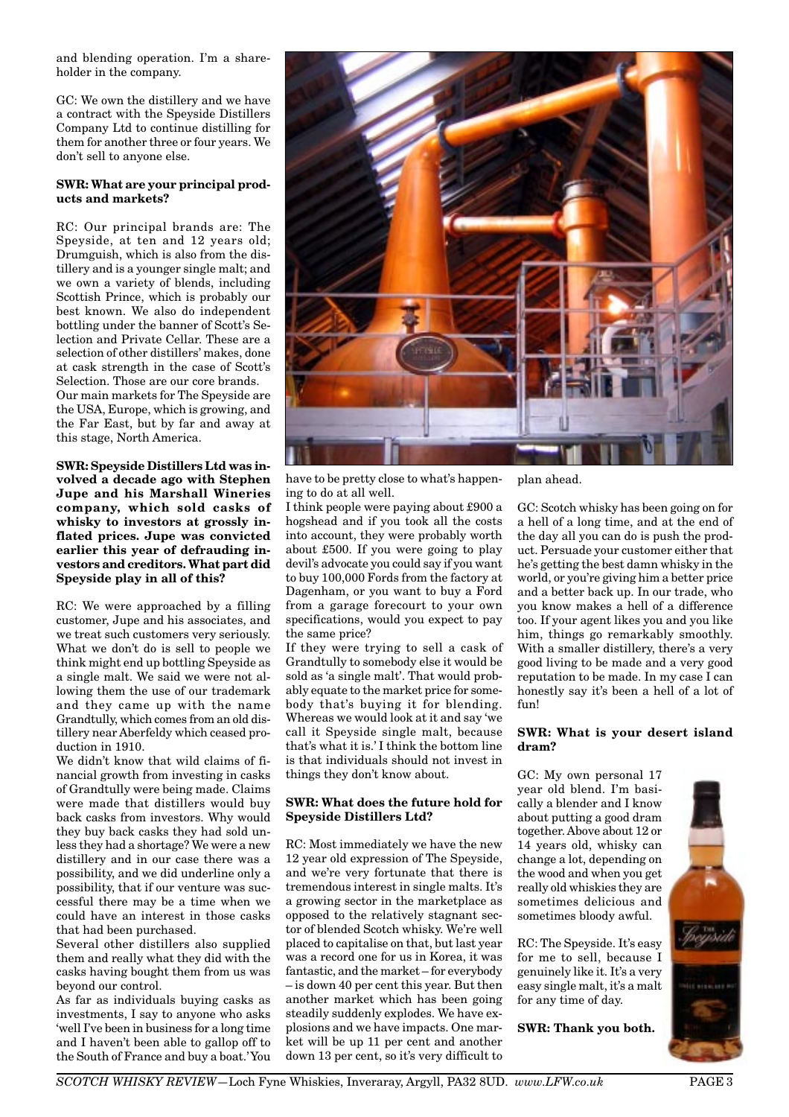and blending operation. I'm a shareholder in the company.

GC: We own the distillery and we have a contract with the Speyside Distillers Company Ltd to continue distilling for them for another three or four years. We don't sell to anyone else.

#### **SWR: What are your principal products and markets?**

RC: Our principal brands are: The Speyside, at ten and 12 years old; Drumguish, which is also from the distillery and is a younger single malt; and we own a variety of blends, including Scottish Prince, which is probably our best known. We also do independent bottling under the banner of Scott's Selection and Private Cellar. These are a selection of other distillers' makes, done at cask strength in the case of Scott's Selection. Those are our core brands. Our main markets for The Speyside are the USA, Europe, which is growing, and the Far East, but by far and away at this stage, North America.

**SWR: Speyside Distillers Ltd was involved a decade ago with Stephen Jupe and his Marshall Wineries company, which sold casks of whisky to investors at grossly inflated prices. Jupe was convicted earlier this year of defrauding investors and creditors. What part did Speyside play in all of this?**

RC: We were approached by a filling customer, Jupe and his associates, and we treat such customers very seriously. What we don't do is sell to people we think might end up bottling Speyside as a single malt. We said we were not allowing them the use of our trademark and they came up with the name Grandtully, which comes from an old distillery near Aberfeldy which ceased production in 1910.

We didn't know that wild claims of financial growth from investing in casks of Grandtully were being made. Claims were made that distillers would buy back casks from investors. Why would they buy back casks they had sold unless they had a shortage? We were a new distillery and in our case there was a possibility, and we did underline only a possibility, that if our venture was successful there may be a time when we could have an interest in those casks that had been purchased.

Several other distillers also supplied them and really what they did with the casks having bought them from us was beyond our control.

As far as individuals buying casks as investments, I say to anyone who asks 'well I've been in business for a long time and I haven't been able to gallop off to the South of France and buy a boat.' You



have to be pretty close to what's happening to do at all well.

I think people were paying about £900 a hogshead and if you took all the costs into account, they were probably worth about £500. If you were going to play devil's advocate you could say if you want to buy 100,000 Fords from the factory at Dagenham, or you want to buy a Ford from a garage forecourt to your own specifications, would you expect to pay the same price?

If they were trying to sell a cask of Grandtully to somebody else it would be sold as 'a single malt'. That would probably equate to the market price for somebody that's buying it for blending. Whereas we would look at it and say 'we call it Speyside single malt, because that's what it is.' I think the bottom line is that individuals should not invest in things they don't know about.

## **SWR: What does the future hold for Speyside Distillers Ltd?**

RC: Most immediately we have the new 12 year old expression of The Speyside, and we're very fortunate that there is tremendous interest in single malts. It's a growing sector in the marketplace as opposed to the relatively stagnant sector of blended Scotch whisky. We're well placed to capitalise on that, but last year was a record one for us in Korea, it was fantastic, and the market – for everybody – is down 40 per cent this year. But then another market which has been going steadily suddenly explodes. We have explosions and we have impacts. One market will be up 11 per cent and another down 13 per cent, so it's very difficult to plan ahead.

GC: Scotch whisky has been going on for a hell of a long time, and at the end of the day all you can do is push the product. Persuade your customer either that he's getting the best damn whisky in the world, or you're giving him a better price and a better back up. In our trade, who you know makes a hell of a difference too. If your agent likes you and you like him, things go remarkably smoothly. With a smaller distillery, there's a very good living to be made and a very good reputation to be made. In my case I can honestly say it's been a hell of a lot of fun!

## **SWR: What is your desert island dram?**

GC: My own personal 17 year old blend. I'm basically a blender and I know about putting a good dram together. Above about 12 or 14 years old, whisky can change a lot, depending on the wood and when you get really old whiskies they are sometimes delicious and sometimes bloody awful.

RC: The Speyside. It's easy for me to sell, because I genuinely like it. It's a very easy single malt, it's a malt for any time of day.

**SWR: Thank you both.**

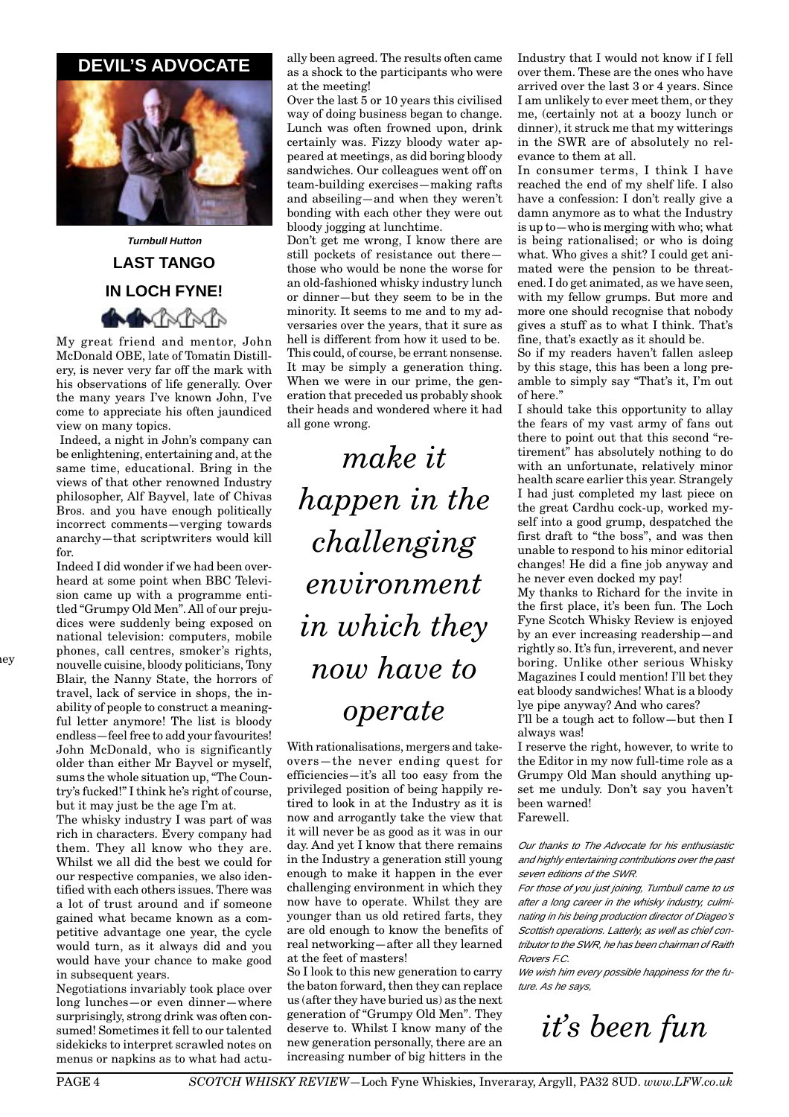## **DEVIL'S ADVOCATE**



**Turnbull Hutton LAST TANGO IN LOCH FYNE!** AAAA

My great friend and mentor, John McDonald OBE, late of Tomatin Distillery, is never very far off the mark with his observations of life generally. Over the many years I've known John, I've come to appreciate his often jaundiced view on many topics.

Indeed, a night in John's company can be enlightening, entertaining and, at the same time, educational. Bring in the views of that other renowned Industry philosopher, Alf Bayvel, late of Chivas Bros. and you have enough politically incorrect comments—verging towards anarchy—that scriptwriters would kill for.

Indeed I did wonder if we had been overheard at some point when BBC Television came up with a programme entitled "Grumpy Old Men". All of our prejudices were suddenly being exposed on national television: computers, mobile phones, call centres, smoker's rights, nouvelle cuisine, bloody politicians, Tony Blair, the Nanny State, the horrors of travel, lack of service in shops, the inability of people to construct a meaningful letter anymore! The list is bloody endless—feel free to add your favourites! John McDonald, who is significantly older than either Mr Bayvel or myself, sums the whole situation up, "The Country's fucked!" I think he's right of course, but it may just be the age I'm at.

The whisky industry I was part of was rich in characters. Every company had them. They all know who they are. Whilst we all did the best we could for our respective companies, we also identified with each others issues. There was a lot of trust around and if someone gained what became known as a competitive advantage one year, the cycle would turn, as it always did and you would have your chance to make good in subsequent years.

Negotiations invariably took place over long lunches—or even dinner—where surprisingly, strong drink was often consumed! Sometimes it fell to our talented sidekicks to interpret scrawled notes on menus or napkins as to what had actually been agreed. The results often came as a shock to the participants who were at the meeting!

Over the last 5 or 10 years this civilised way of doing business began to change. Lunch was often frowned upon, drink certainly was. Fizzy bloody water appeared at meetings, as did boring bloody sandwiches. Our colleagues went off on team-building exercises—making rafts and abseiling—and when they weren't bonding with each other they were out bloody jogging at lunchtime.

Don't get me wrong, I know there are still pockets of resistance out there those who would be none the worse for an old-fashioned whisky industry lunch or dinner—but they seem to be in the minority. It seems to me and to my adversaries over the years, that it sure as hell is different from how it used to be. This could, of course, be errant nonsense. It may be simply a generation thing. When we were in our prime, the generation that preceded us probably shook their heads and wondered where it had all gone wrong.

*make it happen in the challenging environment in which they now have to operate*

With rationalisations, mergers and takeovers—the never ending quest for efficiencies—it's all too easy from the privileged position of being happily retired to look in at the Industry as it is now and arrogantly take the view that it will never be as good as it was in our day. And yet I know that there remains in the Industry a generation still young enough to make it happen in the ever challenging environment in which they now have to operate. Whilst they are younger than us old retired farts, they are old enough to know the benefits of real networking—after all they learned at the feet of masters!

So I look to this new generation to carry the baton forward, then they can replace us (after they have buried us) as the next generation of "Grumpy Old Men". They deserve to. Whilst I know many of the new generation personally, there are an increasing number of big hitters in the Industry that I would not know if I fell over them. These are the ones who have arrived over the last 3 or 4 years. Since I am unlikely to ever meet them, or they me, (certainly not at a boozy lunch or dinner), it struck me that my witterings in the SWR are of absolutely no relevance to them at all.

In consumer terms, I think I have reached the end of my shelf life. I also have a confession: I don't really give a damn anymore as to what the Industry is up to—who is merging with who; what is being rationalised; or who is doing what. Who gives a shit? I could get animated were the pension to be threatened. I do get animated, as we have seen, with my fellow grumps. But more and more one should recognise that nobody gives a stuff as to what I think. That's fine, that's exactly as it should be.

So if my readers haven't fallen asleep by this stage, this has been a long preamble to simply say "That's it, I'm out of here."

I should take this opportunity to allay the fears of my vast army of fans out there to point out that this second "retirement" has absolutely nothing to do with an unfortunate, relatively minor health scare earlier this year. Strangely I had just completed my last piece on the great Cardhu cock-up, worked myself into a good grump, despatched the first draft to "the boss", and was then unable to respond to his minor editorial changes! He did a fine job anyway and he never even docked my pay!

My thanks to Richard for the invite in the first place, it's been fun. The Loch Fyne Scotch Whisky Review is enjoyed by an ever increasing readership—and rightly so. It's fun, irreverent, and never boring. Unlike other serious Whisky Magazines I could mention! I'll bet they eat bloody sandwiches! What is a bloody lye pipe anyway? And who cares?

I'll be a tough act to follow—but then I always was!

I reserve the right, however, to write to the Editor in my now full-time role as a Grumpy Old Man should anything upset me unduly. Don't say you haven't been warned! Farewell.

#### Our thanks to The Advocate for his enthusiastic and highly entertaining contributions over the past seven editions of the SWR.

For those of you just joining, Turnbull came to us after a long career in the whisky industry, culminating in his being production director of Diageo's Scottish operations. Latterly, as well as chief contributor to the SWR, he has been chairman of Raith Rovers F.C.

We wish him every possible happiness for the future. As he says,

*it's been fun*

ney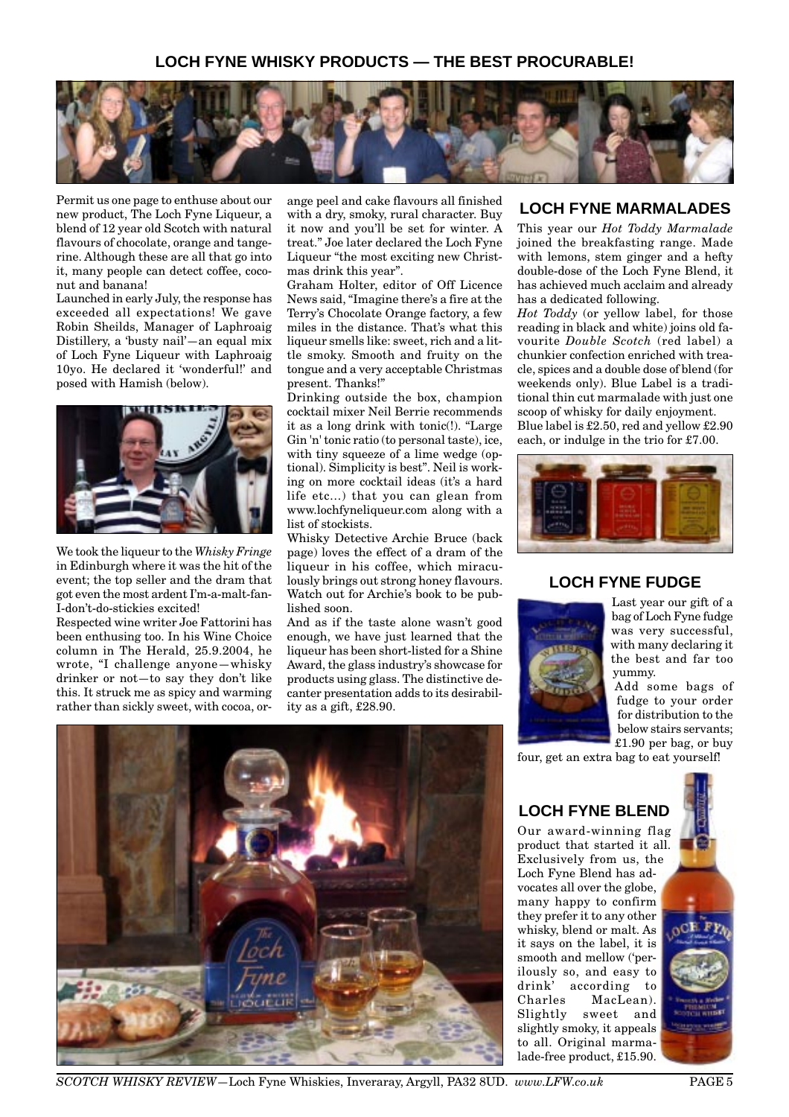

Permit us one page to enthuse about our new product, The Loch Fyne Liqueur, a blend of 12 year old Scotch with natural flavours of chocolate, orange and tangerine. Although these are all that go into it, many people can detect coffee, coconut and banana!

Launched in early July, the response has exceeded all expectations! We gave Robin Sheilds, Manager of Laphroaig Distillery, a 'busty nail'—an equal mix of Loch Fyne Liqueur with Laphroaig 10yo. He declared it 'wonderful!' and posed with Hamish (below).



We took the liqueur to the *Whisky Fringe* in Edinburgh where it was the hit of the event; the top seller and the dram that got even the most ardent I'm-a-malt-fan-I-don't-do-stickies excited!

Respected wine writer Joe Fattorini has been enthusing too. In his Wine Choice column in The Herald, 25.9.2004, he wrote, "I challenge anyone—whisky drinker or not—to say they don't like this. It struck me as spicy and warming rather than sickly sweet, with cocoa, orange peel and cake flavours all finished with a dry, smoky, rural character. Buy it now and you'll be set for winter. A treat." Joe later declared the Loch Fyne Liqueur "the most exciting new Christmas drink this year".

Graham Holter, editor of Off Licence News said, "Imagine there's a fire at the Terry's Chocolate Orange factory, a few miles in the distance. That's what this liqueur smells like: sweet, rich and a little smoky. Smooth and fruity on the tongue and a very acceptable Christmas present. Thanks!"

Drinking outside the box, champion cocktail mixer Neil Berrie recommends it as a long drink with tonic(!). "Large Gin 'n' tonic ratio (to personal taste), ice, with tiny squeeze of a lime wedge (optional). Simplicity is best". Neil is working on more cocktail ideas (it's a hard life etc...) that you can glean from www.lochfyneliqueur.com along with a list of stockists.

Whisky Detective Archie Bruce (back page) loves the effect of a dram of the liqueur in his coffee, which miraculously brings out strong honey flavours. Watch out for Archie's book to be published soon.

And as if the taste alone wasn't good enough, we have just learned that the liqueur has been short-listed for a Shine Award, the glass industry's showcase for products using glass. The distinctive decanter presentation adds to its desirability as a gift, £28.90.

## **LOCH FYNE MARMALADES**

This year our *Hot Toddy Marmalade* joined the breakfasting range. Made with lemons, stem ginger and a hefty double-dose of the Loch Fyne Blend, it has achieved much acclaim and already has a dedicated following.

*Hot Toddy* (or yellow label, for those reading in black and white) joins old favourite *Double Scotch* (red label) a chunkier confection enriched with treacle, spices and a double dose of blend (for weekends only). Blue Label is a traditional thin cut marmalade with just one scoop of whisky for daily enjoyment. Blue label is £2.50, red and yellow £2.90 each, or indulge in the trio for £7.00.



## **LOCH FYNE FUDGE**



Last year our gift of a bag of Loch Fyne fudge was very successful, with many declaring it the best and far too yummy.

Add some bags of fudge to your order for distribution to the below stairs servants; £1.90 per bag, or buy

## four, get an extra bag to eat yourself!

## **LOCH FYNE BLEND** Our award-winning flag

product that started it all. Exclusively from us, the Loch Fyne Blend has advocates all over the globe, many happy to confirm they prefer it to any other whisky, blend or malt. As it says on the label, it is smooth and mellow ('perilously so, and easy to drink' according to<br>Charles MacLean). Charles MacLean).<br>Slightly sweet and sweet and slightly smoky, it appeals to all. Original marmalade-free product, £15.90.



*SCOTCH WHISKY REVIEW*—Loch Fyne Whiskies, Inveraray, Argyll, PA32 8UD. *www.LFW.co.uk* PAGE 5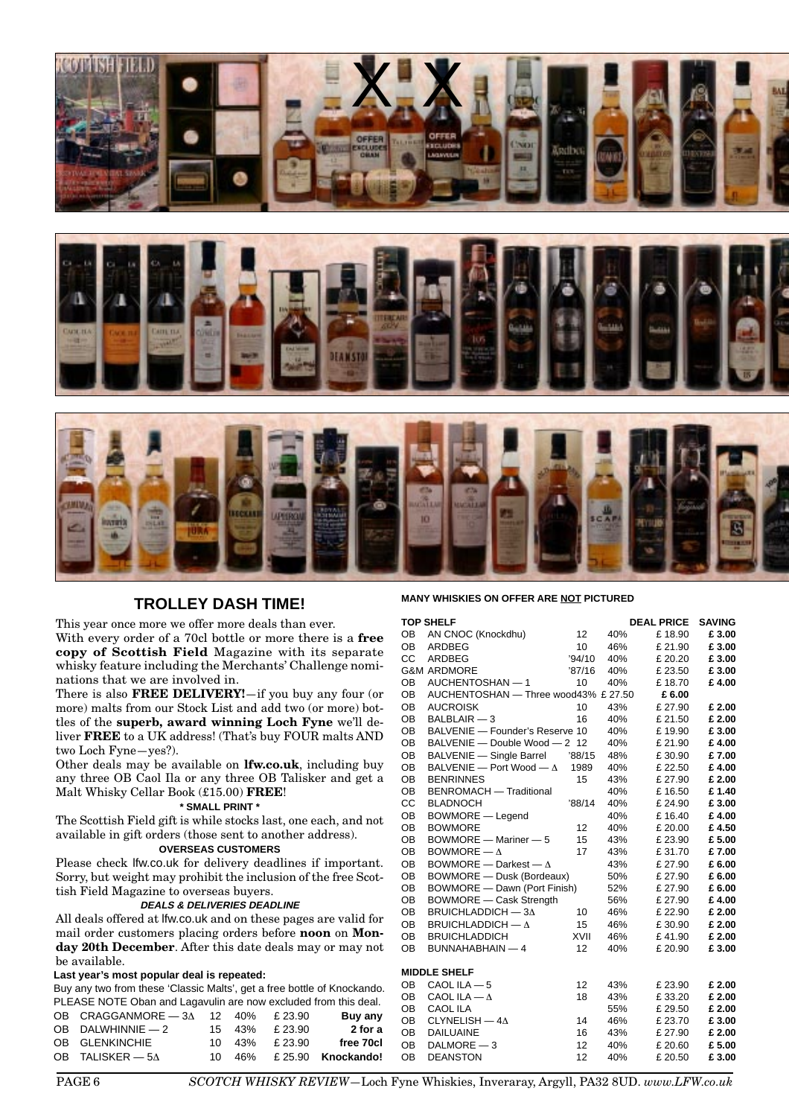





## **TROLLEY DASH TIME!**

This year once more we offer more deals than ever. With every order of a 70cl bottle or more there is a **free copy of Scottish Field** Magazine with its separate whisky feature including the Merchants' Challenge nominations that we are involved in.

There is also **FREE DELIVERY!**—if you buy any four (or more) malts from our Stock List and add two (or more) bottles of the **superb, award winning Loch Fyne** we'll deliver **FREE** to a UK address! (That's buy FOUR malts AND two Loch Fyne—yes?).

Other deals may be available on **lfw.co.uk**, including buy any three OB Caol Ila or any three OB Talisker and get a Malt Whisky Cellar Book (£15.00) **FREE**!

#### **\* SMALL PRINT \***

The Scottish Field gift is while stocks last, one each, and not available in gift orders (those sent to another address).

**OVERSEAS CUSTOMERS**

Please check lfw.co.uk for delivery deadlines if important. Sorry, but weight may prohibit the inclusion of the free Scottish Field Magazine to overseas buyers.

## **DEALS & DELIVERIES DEADLINE**

All deals offered at lfw.co.uk and on these pages are valid for mail order customers placing orders before **noon** on **Monday 20th December**. After this date deals may or may not be available.

#### **Last year's most popular deal is repeated:**

Buy any two from these 'Classic Malts', get a free bottle of Knockando. PLEASE NOTE Oban and Lagavulin are now excluded from this deal.

| Buy any            | £ 23.90 | 12 40% | OB CRAGGANMORE - 3A |  |
|--------------------|---------|--------|---------------------|--|
| 2 for a            | £ 23.90 | 15 43% | OB DALWHINNIE - 2   |  |
| free 70cl          | £ 23.90 | 10 43% | OB GLENKINCHIE      |  |
| £ 25.90 Knockando! |         | 10 46% | OB TALISKER - 5A    |  |
|                    |         |        |                     |  |

#### **MANY WHISKIES ON OFFER ARE NOT PICTURED**

|    | TOP SHELF                            |        |     | <b>DEAL PRICE</b> | <b>SAVING</b> |
|----|--------------------------------------|--------|-----|-------------------|---------------|
| ОВ | AN CNOC (Knockdhu)                   | 12     | 40% | £18.90            | £3.00         |
| OВ | <b>ARDBEG</b>                        | 10     | 46% | £ 21.90           | £3.00         |
| CС | ARDBEG                               | '94/10 | 40% | £ 20.20           | £3.00         |
|    | <b>G&amp;M ARDMORE</b>               | '87/16 | 40% | £ 23.50           | £3.00         |
| OВ | AUCHENTOSHAN - 1                     | 10     | 40% | £18.70            | £4.00         |
| OВ | AUCHENTOSHAN - Three wood43% £ 27.50 |        |     | £6.00             |               |
| OВ | <b>AUCROISK</b>                      | 10     | 43% | £ 27.90           | £ 2.00        |
| OВ | $BALBLAIR - 3$                       | 16     | 40% | £ 21.50           | £2.00         |
| OВ | BALVENIE - Founder's Reserve 10      |        | 40% | £19.90            | £3.00         |
| OВ | BALVENIE - Double Wood - 2 12        |        | 40% | £ 21.90           | £4.00         |
| OВ | <b>BALVENIE</b> - Single Barrel      | '88/15 | 48% | £30.90            | £7.00         |
| OВ | BALVENIE - Port Wood - $\Delta$      | 1989   | 40% | £ 22.50           | £4.00         |
| OВ | <b>BENRINNES</b>                     | 15     | 43% | £ 27.90           | £2.00         |
| OВ | <b>BENROMACH</b> - Traditional       |        | 40% | £16.50            | £1.40         |
| CС | <b>BLADNOCH</b>                      | '88/14 | 40% | £ 24.90           | £3.00         |
| OВ | <b>BOWMORE</b> - Legend              |        | 40% | £16.40            | £4.00         |
| OВ | <b>BOWMORE</b>                       | 12     | 40% | £ 20.00           | £4.50         |
| OВ | BOWMORE - Mariner - 5                | 15     | 43% | £ 23.90           | £5.00         |
| OВ | BOWMORE — $\Delta$                   | 17     | 43% | £31.70            | £7.00         |
| OВ | BOWMORE - Darkest $-\Delta$          |        | 43% | £ 27.90           | £6.00         |
| OВ | <b>BOWMORE</b> - Dusk (Bordeaux)     |        | 50% | £ 27.90           | £6.00         |
| OВ | BOWMORE - Dawn (Port Finish)         |        | 52% | £ 27.90           | £6.00         |
| OВ | BOWMORE - Cask Strength              |        | 56% | £ 27.90           | £4.00         |
| OВ | BRUICHLADDICH $-3\Delta$             | 10     | 46% | £ 22.90           | £ 2.00        |
| OВ | BRUICHLADDICH $-\Delta$              | 15     | 46% | £30.90            | £2.00         |
| OВ | <b>BRUICHLADDICH</b>                 | XVII   | 46% | £41.90            | £ 2.00        |
| OВ | BUNNAHABHAIN - 4                     | 12     | 40% | £ 20.90           | £3.00         |
|    | <b>MIDDLE SHELF</b>                  |        |     |                   |               |
| ОВ | $CAOL ILA - 5$                       | 12     | 43% | £ 23.90           | £ 2.00        |
| OВ | CAOL ILA $-\Delta$                   | 18     | 43% | £33.20            | £2.00         |
| OВ | <b>CAOL ILA</b>                      |        | 55% | £ 29.50           | £ 2.00        |
| ОВ | CLYNELISH $-4\Delta$                 | 14     | 46% | £ 23.70           | £3.00         |
| OВ | <b>DAILUAINE</b>                     | 16     | 43% | £ 27.90           | £ 2.00        |
| OВ | DALMORE-3                            | 12     | 40% | £ 20.60           | £5.00         |
| OВ | <b>DEANSTON</b>                      | 12     | 40% | £ 20.50           | £3.00         |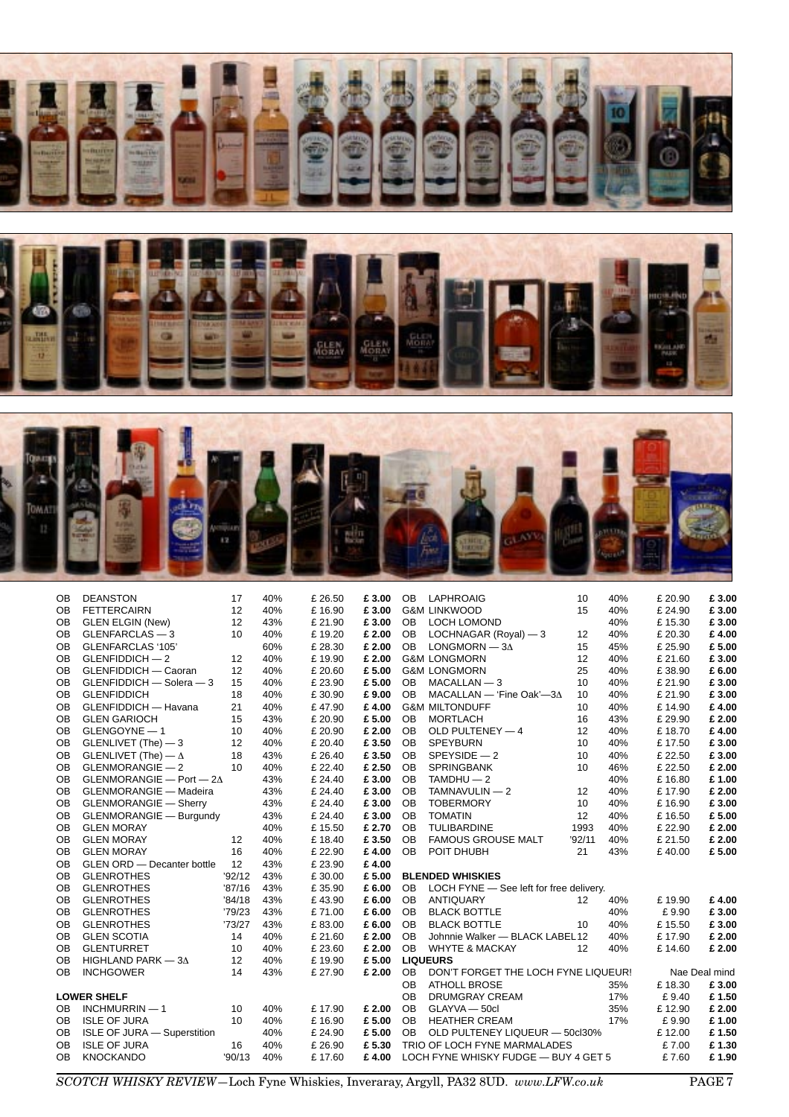





| <b>OB</b> | <b>DEANSTON</b>                    | 17     | 40% | £ 26.50 | £3.00  | <b>OB</b> | <b>LAPHROAIG</b>                        | 10     | 40% | £ 20.90 | £3.00         |
|-----------|------------------------------------|--------|-----|---------|--------|-----------|-----------------------------------------|--------|-----|---------|---------------|
| <b>OB</b> | <b>FETTERCAIRN</b>                 | 12     | 40% | £16.90  | £3.00  |           | <b>G&amp;M LINKWOOD</b>                 | 15     | 40% | £ 24.90 | £3.00         |
| OВ        | <b>GLEN ELGIN (New)</b>            | 12     | 43% | £ 21.90 | £3.00  | OB.       | <b>LOCH LOMOND</b>                      |        | 40% | £15.30  | £3.00         |
| OB        | GLENFARCLAS-3                      | 10     | 40% | £19.20  | £ 2.00 | <b>OB</b> | LOCHNAGAR (Royal) - 3                   | 12     | 40% | £ 20.30 | £4.00         |
| <b>OB</b> | <b>GLENFARCLAS '105'</b>           |        | 60% | £ 28.30 | £ 2.00 | <b>OB</b> | LONGMORN $-$ 3 $\Delta$                 | 15     | 45% | £ 25.90 | £5.00         |
| OB        | GLENFIDDICH-2                      | 12     | 40% | £19.90  | £ 2.00 |           | <b>G&amp;M LONGMORN</b>                 | 12     | 40% | £ 21.60 | £3.00         |
| <b>OB</b> | <b>GLENFIDDICH</b> - Caoran        | 12     | 40% | £ 20.60 | £5.00  |           | <b>G&amp;M LONGMORN</b>                 | 25     | 40% | £38.90  | £6.00         |
| <b>OB</b> | GLENFIDDICH - Solera - 3           | 15     | 40% | £ 23.90 | £5.00  | <b>OB</b> | $MACALLAN - 3$                          | 10     | 40% | £ 21.90 | £3.00         |
| <b>OB</b> | <b>GLENFIDDICH</b>                 | 18     | 40% | £30.90  | £9.00  | <b>OB</b> | MACALLAN - 'Fine Oak'-3 $\Delta$        | 10     | 40% | £ 21.90 | £3.00         |
| <b>OB</b> | <b>GLENFIDDICH - Havana</b>        | 21     | 40% | £47.90  | £4.00  |           | <b>G&amp;M MILTONDUFF</b>               | 10     | 40% | £14.90  | £4.00         |
| <b>OB</b> | <b>GLEN GARIOCH</b>                | 15     | 43% | £ 20.90 | £5.00  | <b>OB</b> | <b>MORTLACH</b>                         | 16     | 43% | £ 29.90 | £ 2.00        |
| OB        | GLENGOYNE - 1                      | 10     | 40% | £ 20.90 | £ 2.00 | <b>OB</b> | OLD PULTENEY - 4                        | 12     | 40% | £18.70  | £4.00         |
| OB        | GLENLIVET (The) - 3                | 12     | 40% | £ 20.40 | £3.50  | <b>OB</b> | <b>SPEYBURN</b>                         | 10     | 40% | £17.50  | £3.00         |
| <b>OB</b> | GLENLIVET (The) $-\Delta$          | 18     | 43% | £ 26.40 | £3.50  | <b>OB</b> | $SPEYSIDE - 2$                          | 10     | 40% | £ 22.50 | £3.00         |
| <b>OB</b> | GLENMORANGIE - 2                   | 10     | 40% | £ 22.40 | £ 2.50 | <b>OB</b> | <b>SPRINGBANK</b>                       | 10     | 46% | £ 22.50 | £ 2.00        |
| <b>OB</b> | $GLENMORANGLE$ – Port – 2 $\Delta$ |        | 43% | £ 24.40 | £3.00  | <b>OB</b> | $TAMDHU - 2$                            |        | 40% | £16.80  | £1.00         |
| OB        | <b>GLENMORANGIE - Madeira</b>      |        | 43% | £ 24.40 | £3.00  | <b>OB</b> | TAMNAVULIN - 2                          | 12     | 40% | £17.90  | £ 2.00        |
| <b>OB</b> | <b>GLENMORANGIE - Sherry</b>       |        | 43% | £ 24.40 | £3.00  | <b>OB</b> | <b>TOBERMORY</b>                        | 10     | 40% | £16.90  | £3.00         |
| <b>OB</b> | <b>GLENMORANGIE - Burgundy</b>     |        | 43% | £ 24.40 | £3.00  | <b>OB</b> | <b>TOMATIN</b>                          | 12     | 40% | £16.50  | £5.00         |
| <b>OB</b> | <b>GLEN MORAY</b>                  |        | 40% | £15.50  | £ 2.70 | <b>OB</b> | <b>TULIBARDINE</b>                      | 1993   | 40% | £ 22.90 | £ 2.00        |
| <b>OB</b> | <b>GLEN MORAY</b>                  | 12     | 40% | £18.40  | £3.50  | <b>OB</b> | <b>FAMOUS GROUSE MALT</b>               | '92/11 | 40% | £ 21.50 | £ 2.00        |
| <b>OB</b> | <b>GLEN MORAY</b>                  | 16     | 40% | £ 22.90 | £4.00  | <b>OB</b> | POIT DHUBH                              | 21     | 43% | £40.00  | £5.00         |
| OB        | <b>GLEN ORD - Decanter bottle</b>  | 12     | 43% | £ 23.90 | £4.00  |           |                                         |        |     |         |               |
| OB        | <b>GLENROTHES</b>                  | '92/12 | 43% | £30.00  | £5.00  |           | <b>BLENDED WHISKIES</b>                 |        |     |         |               |
| OB        | <b>GLENROTHES</b>                  | '87/16 | 43% | £35.90  | £6.00  | OB.       | LOCH FYNE - See left for free delivery. |        |     |         |               |
| OB        | <b>GLENROTHES</b>                  | '84/18 | 43% | £43.90  | £6.00  | <b>OB</b> | ANTIQUARY                               | 12     | 40% | £19.90  | £4.00         |
| OB        | <b>GLENROTHES</b>                  | '79/23 | 43% | £71.00  | £6.00  | <b>OB</b> | <b>BLACK BOTTLE</b>                     |        | 40% | £9.90   | £3.00         |
| OB        | <b>GLENROTHES</b>                  | '73/27 | 43% | £83.00  | £6.00  | <b>OB</b> | <b>BLACK BOTTLE</b>                     | 10     | 40% | £15.50  | £3.00         |
| <b>OB</b> | <b>GLEN SCOTIA</b>                 | 14     | 40% | £ 21.60 | £ 2.00 | <b>OB</b> | Johnnie Walker - BLACK LABEL12          |        | 40% | £17.90  | £ 2.00        |
| OB        | <b>GLENTURRET</b>                  | 10     | 40% | £23.60  | £ 2.00 | <b>OB</b> | <b>WHYTE &amp; MACKAY</b>               | 12     | 40% | £14.60  | £ 2.00        |
| <b>OB</b> | HIGHLAND PARK $-3\Delta$           | 12     | 40% | £19.90  | £5.00  |           | <b>LIQUEURS</b>                         |        |     |         |               |
| <b>OB</b> | <b>INCHGOWER</b>                   | 14     | 43% | £ 27.90 | £ 2.00 | <b>OB</b> | DON'T FORGET THE LOCH FYNE LIQUEUR!     |        |     |         | Nae Deal mind |
|           |                                    |        |     |         |        | <b>OB</b> | <b>ATHOLL BROSE</b>                     |        | 35% | £18.30  | £3.00         |
|           | <b>LOWER SHELF</b>                 |        |     |         |        | <b>OB</b> | <b>DRUMGRAY CREAM</b>                   |        | 17% | £9.40   | £1.50         |
| OВ        | INCHMURRIN-1                       | 10     | 40% | £17.90  | £ 2.00 | <b>OB</b> | GLAYVA - 50cl                           |        | 35% | £12.90  | £ 2.00        |
| <b>OB</b> | <b>ISLE OF JURA</b>                | 10     | 40% | £16.90  | £5.00  | <b>OB</b> | <b>HEATHER CREAM</b>                    |        | 17% | £9.90   | £1.00         |
| OB        | ISLE OF JURA - Superstition        |        | 40% | £ 24.90 | £5.00  | <b>OB</b> | OLD PULTENEY LIQUEUR - 50cl30%          |        |     | £12.00  | £1.50         |
| OВ        | <b>ISLE OF JURA</b>                | 16     | 40% | £ 26.90 | £5.30  |           | TRIO OF LOCH FYNE MARMALADES            |        |     | £7.00   | £1.30         |
| <b>OB</b> | <b>KNOCKANDO</b>                   | '90/13 | 40% | £17.60  | £4.00  |           | LOCH FYNE WHISKY FUDGE - BUY 4 GET 5    |        |     | £7.60   | £1.90         |
|           |                                    |        |     |         |        |           |                                         |        |     |         |               |

*SCOTCH WHISKY REVIEW*—Loch Fyne Whiskies, Inveraray, Argyll, PA32 8UD. *www.LFW.co.uk* PAGE 7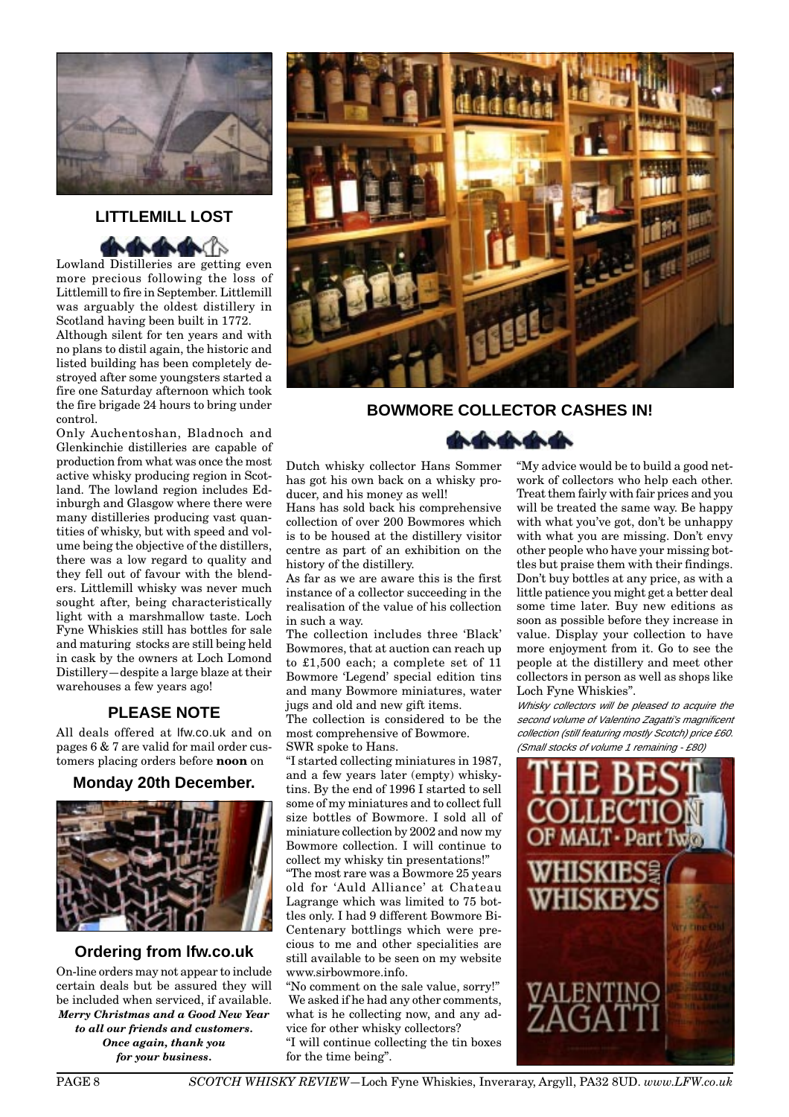

**LITTLEMILL LOST**



more precious following the loss of Littlemill to fire in September. Littlemill was arguably the oldest distillery in Scotland having been built in 1772.

Although silent for ten years and with no plans to distil again, the historic and listed building has been completely destroyed after some youngsters started a fire one Saturday afternoon which took the fire brigade 24 hours to bring under control.

Only Auchentoshan, Bladnoch and Glenkinchie distilleries are capable of production from what was once the most active whisky producing region in Scotland. The lowland region includes Edinburgh and Glasgow where there were many distilleries producing vast quantities of whisky, but with speed and volume being the objective of the distillers, there was a low regard to quality and they fell out of favour with the blenders. Littlemill whisky was never much sought after, being characteristically light with a marshmallow taste. Loch Fyne Whiskies still has bottles for sale and maturing stocks are still being held in cask by the owners at Loch Lomond Distillery—despite a large blaze at their warehouses a few years ago!

## **PLEASE NOTE**

All deals offered at lfw.co.uk and on pages 6 & 7 are valid for mail order customers placing orders before **noon** on

## **Monday 20th December.**



## **Ordering from lfw.co.uk**

On-line orders may not appear to include certain deals but be assured they will be included when serviced, if available. *Merry Christmas and a Good New Year to all our friends and customers. Once again, thank you for your business.*



## **BOWMORE COLLECTOR CASHES IN!**



Dutch whisky collector Hans Sommer has got his own back on a whisky producer, and his money as well!

Hans has sold back his comprehensive collection of over 200 Bowmores which is to be housed at the distillery visitor centre as part of an exhibition on the history of the distillery.

As far as we are aware this is the first instance of a collector succeeding in the realisation of the value of his collection in such a way.

The collection includes three 'Black' Bowmores, that at auction can reach up to £1,500 each; a complete set of 11 Bowmore 'Legend' special edition tins and many Bowmore miniatures, water jugs and old and new gift items.

The collection is considered to be the most comprehensive of Bowmore. SWR spoke to Hans.

"I started collecting miniatures in 1987, and a few years later (empty) whiskytins. By the end of 1996 I started to sell some of my miniatures and to collect full size bottles of Bowmore. I sold all of miniature collection by 2002 and now my Bowmore collection. I will continue to collect my whisky tin presentations!"

"The most rare was a Bowmore 25 years old for 'Auld Alliance' at Chateau Lagrange which was limited to 75 bottles only. I had 9 different Bowmore Bi-Centenary bottlings which were precious to me and other specialities are still available to be seen on my website www.sirbowmore.info.

"No comment on the sale value, sorry!" We asked if he had any other comments, what is he collecting now, and any advice for other whisky collectors?

"I will continue collecting the tin boxes for the time being".

"My advice would be to build a good network of collectors who help each other. Treat them fairly with fair prices and you will be treated the same way. Be happy with what you've got, don't be unhappy with what you are missing. Don't envy other people who have your missing bottles but praise them with their findings. Don't buy bottles at any price, as with a little patience you might get a better deal some time later. Buy new editions as soon as possible before they increase in value. Display your collection to have more enjoyment from it. Go to see the people at the distillery and meet other collectors in person as well as shops like Loch Fyne Whiskies".

Whisky collectors will be pleased to acquire the second volume of Valentino Zagatti's magnificent collection (still featuring mostly Scotch) price £60. (Small stocks of volume 1 remaining - £80)

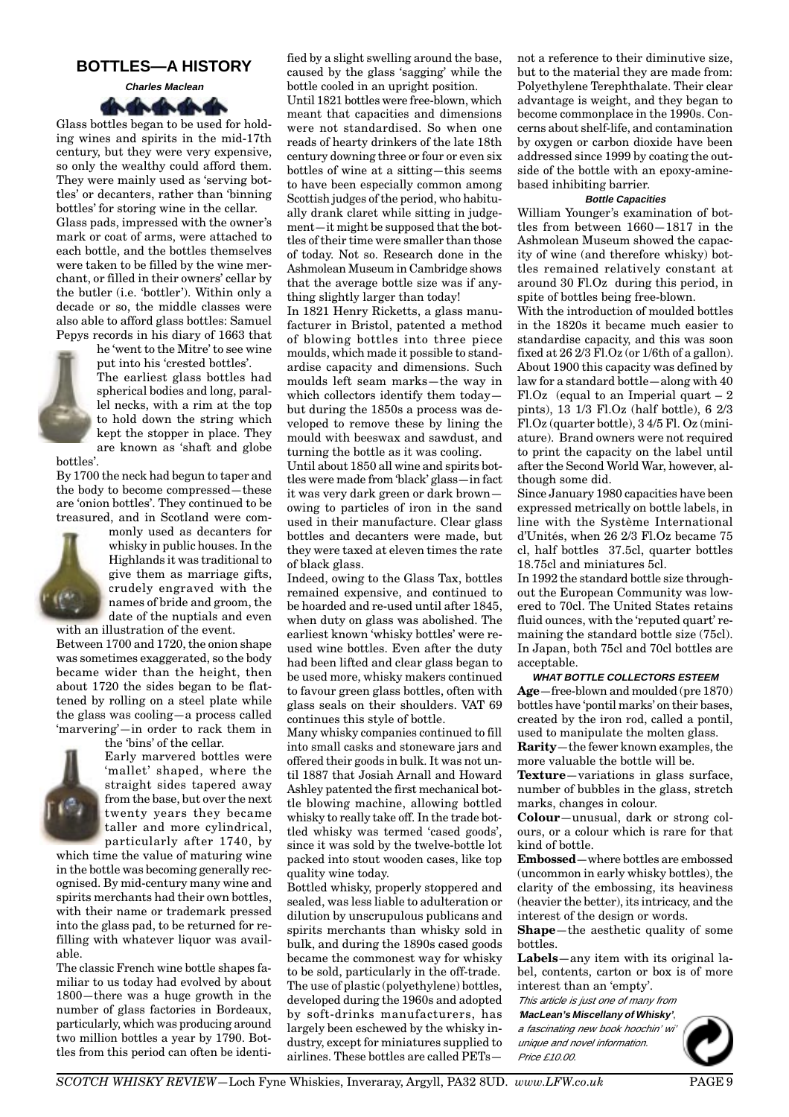## **BOTTLES—A HISTORY**



Glass bottles began to be used for holding wines and spirits in the mid-17th century, but they were very expensive, so only the wealthy could afford them. They were mainly used as 'serving bottles' or decanters, rather than 'binning bottles' for storing wine in the cellar. Glass pads, impressed with the owner's mark or coat of arms, were attached to each bottle, and the bottles themselves were taken to be filled by the wine merchant, or filled in their owners' cellar by the butler (i.e. 'bottler'). Within only a decade or so, the middle classes were also able to afford glass bottles: Samuel Pepys records in his diary of 1663 that



he 'went to the Mitre' to see wine put into his 'crested bottles'.

The earliest glass bottles had spherical bodies and long, parallel necks, with a rim at the top to hold down the string which kept the stopper in place. They are known as 'shaft and globe

bottles'.

By 1700 the neck had begun to taper and the body to become compressed—these are 'onion bottles'. They continued to be treasured, and in Scotland were com-



monly used as decanters for whisky in public houses. In the Highlands it was traditional to give them as marriage gifts, crudely engraved with the names of bride and groom, the date of the nuptials and even

with an illustration of the event. Between 1700 and 1720, the onion shape was sometimes exaggerated, so the body became wider than the height, then about 1720 the sides began to be flattened by rolling on a steel plate while the glass was cooling—a process called 'marvering'—in order to rack them in



the 'bins' of the cellar. Early marvered bottles were 'mallet' shaped, where the straight sides tapered away from the base, but over the next twenty years they became taller and more cylindrical, particularly after 1740, by

which time the value of maturing wine in the bottle was becoming generally recognised. By mid-century many wine and spirits merchants had their own bottles, with their name or trademark pressed into the glass pad, to be returned for refilling with whatever liquor was available.

The classic French wine bottle shapes familiar to us today had evolved by about 1800—there was a huge growth in the number of glass factories in Bordeaux, particularly, which was producing around two million bottles a year by 1790. Bottles from this period can often be identified by a slight swelling around the base, caused by the glass 'sagging' while the bottle cooled in an upright position.

Until 1821 bottles were free-blown, which meant that capacities and dimensions were not standardised. So when one reads of hearty drinkers of the late 18th century downing three or four or even six bottles of wine at a sitting—this seems to have been especially common among Scottish judges of the period, who habitually drank claret while sitting in judgement—it might be supposed that the bottles of their time were smaller than those of today. Not so. Research done in the Ashmolean Museum in Cambridge shows that the average bottle size was if anything slightly larger than today!

In 1821 Henry Ricketts, a glass manufacturer in Bristol, patented a method of blowing bottles into three piece moulds, which made it possible to standardise capacity and dimensions. Such moulds left seam marks—the way in which collectors identify them today but during the 1850s a process was developed to remove these by lining the mould with beeswax and sawdust, and turning the bottle as it was cooling.

Until about 1850 all wine and spirits bottles were made from 'black' glass—in fact it was very dark green or dark brown owing to particles of iron in the sand used in their manufacture. Clear glass bottles and decanters were made, but they were taxed at eleven times the rate of black glass.

Indeed, owing to the Glass Tax, bottles remained expensive, and continued to be hoarded and re-used until after 1845, when duty on glass was abolished. The earliest known 'whisky bottles' were reused wine bottles. Even after the duty had been lifted and clear glass began to be used more, whisky makers continued to favour green glass bottles, often with glass seals on their shoulders. VAT 69 continues this style of bottle.

Many whisky companies continued to fill into small casks and stoneware jars and offered their goods in bulk. It was not until 1887 that Josiah Arnall and Howard Ashley patented the first mechanical bottle blowing machine, allowing bottled whisky to really take off. In the trade bottled whisky was termed 'cased goods', since it was sold by the twelve-bottle lot packed into stout wooden cases, like top quality wine today.

Bottled whisky, properly stoppered and sealed, was less liable to adulteration or dilution by unscrupulous publicans and spirits merchants than whisky sold in bulk, and during the 1890s cased goods became the commonest way for whisky to be sold, particularly in the off-trade. The use of plastic (polyethylene) bottles, developed during the 1960s and adopted by soft-drinks manufacturers, has largely been eschewed by the whisky industry, except for miniatures supplied to airlines. These bottles are called PETsnot a reference to their diminutive size, but to the material they are made from: Polyethylene Terephthalate. Their clear advantage is weight, and they began to become commonplace in the 1990s. Concerns about shelf-life, and contamination by oxygen or carbon dioxide have been addressed since 1999 by coating the outside of the bottle with an epoxy-aminebased inhibiting barrier.

#### **Bottle Capacities**

William Younger's examination of bottles from between 1660—1817 in the Ashmolean Museum showed the capacity of wine (and therefore whisky) bottles remained relatively constant at around 30 Fl.Oz during this period, in spite of bottles being free-blown.

With the introduction of moulded bottles in the 1820s it became much easier to standardise capacity, and this was soon fixed at 26 2/3 Fl.Oz (or 1/6th of a gallon). About 1900 this capacity was defined by law for a standard bottle—along with 40 Fl.Oz (equal to an Imperial quart  $-2$ pints), 13 1/3 Fl.Oz (half bottle), 6 2/3 Fl.Oz (quarter bottle), 3 4/5 Fl. Oz (miniature). Brand owners were not required to print the capacity on the label until after the Second World War, however, although some did.

Since January 1980 capacities have been expressed metrically on bottle labels, in line with the Système International d'Unités, when 26 2/3 Fl.Oz became 75 cl, half bottles 37.5cl, quarter bottles 18.75cl and miniatures 5cl.

In 1992 the standard bottle size throughout the European Community was lowered to 70cl. The United States retains fluid ounces, with the 'reputed quart' remaining the standard bottle size (75cl). In Japan, both 75cl and 70cl bottles are acceptable.

## **WHAT BOTTLE COLLECTORS ESTEEM**

**Age**—free-blown and moulded (pre 1870) bottles have 'pontil marks' on their bases, created by the iron rod, called a pontil, used to manipulate the molten glass. **Rarity**—the fewer known examples, the more valuable the bottle will be.

**Texture**—variations in glass surface, number of bubbles in the glass, stretch marks, changes in colour.

**Colour**—unusual, dark or strong colours, or a colour which is rare for that kind of bottle.

**Embossed**—where bottles are embossed (uncommon in early whisky bottles), the clarity of the embossing, its heaviness (heavier the better), its intricacy, and the interest of the design or words.

**Shape**—the aesthetic quality of some bottles.

**Labels**—any item with its original label, contents, carton or box is of more interest than an 'empty'.

This article is just one of many from

'**MacLean's Miscellany of Whisky'**, a fascinating new book hoochin' wi' unique and novel information. Price £10.00.

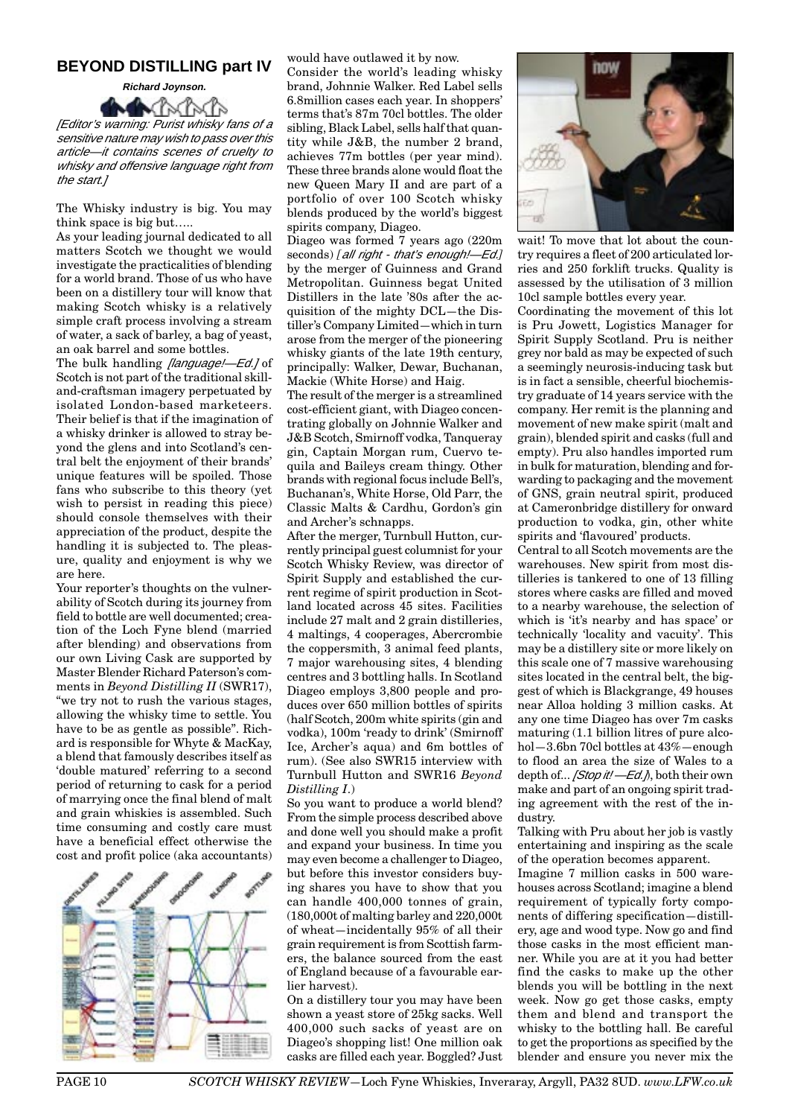## **BEYOND DISTILLING part IV**



[Editor's warning: Purist whisky fans of a sensitive nature may wish to pass over this article—it contains scenes of cruelty to whisky and offensive language right from the start.]

The Whisky industry is big. You may think space is big but…..

As your leading journal dedicated to all matters Scotch we thought we would investigate the practicalities of blending for a world brand. Those of us who have been on a distillery tour will know that making Scotch whisky is a relatively simple craft process involving a stream of water, a sack of barley, a bag of yeast, an oak barrel and some bottles.

The bulk handling *[language!-Ed.]* of Scotch is not part of the traditional skilland-craftsman imagery perpetuated by isolated London-based marketeers. Their belief is that if the imagination of a whisky drinker is allowed to stray beyond the glens and into Scotland's central belt the enjoyment of their brands' unique features will be spoiled. Those fans who subscribe to this theory (yet wish to persist in reading this piece) should console themselves with their appreciation of the product, despite the handling it is subjected to. The pleasure, quality and enjoyment is why we are here.

Your reporter's thoughts on the vulnerability of Scotch during its journey from field to bottle are well documented; creation of the Loch Fyne blend (married after blending) and observations from our own Living Cask are supported by Master Blender Richard Paterson's comments in *Beyond Distilling II* (SWR17), "we try not to rush the various stages, allowing the whisky time to settle. You have to be as gentle as possible". Richard is responsible for Whyte & MacKay, a blend that famously describes itself as 'double matured' referring to a second period of returning to cask for a period of marrying once the final blend of malt and grain whiskies is assembled. Such time consuming and costly care must have a beneficial effect otherwise the cost and profit police (aka accountants)



would have outlawed it by now.

Consider the world's leading whisky brand, Johnnie Walker. Red Label sells 6.8million cases each year. In shoppers' terms that's 87m 70cl bottles. The older sibling, Black Label, sells half that quantity while J&B, the number 2 brand, achieves 77m bottles (per year mind). These three brands alone would float the new Queen Mary II and are part of a portfolio of over 100 Scotch whisky blends produced by the world's biggest spirits company, Diageo.

Diageo was formed 7 years ago (220m seconds) *[*all right - that's enough!—Ed.*]* by the merger of Guinness and Grand Metropolitan. Guinness begat United Distillers in the late '80s after the acquisition of the mighty DCL—the Distiller's Company Limited—which in turn arose from the merger of the pioneering whisky giants of the late 19th century, principally: Walker, Dewar, Buchanan, Mackie (White Horse) and Haig.

The result of the merger is a streamlined cost-efficient giant, with Diageo concentrating globally on Johnnie Walker and J&B Scotch, Smirnoff vodka, Tanqueray gin, Captain Morgan rum, Cuervo tequila and Baileys cream thingy. Other brands with regional focus include Bell's, Buchanan's, White Horse, Old Parr, the Classic Malts & Cardhu, Gordon's gin and Archer's schnapps.

After the merger, Turnbull Hutton, currently principal guest columnist for your Scotch Whisky Review, was director of Spirit Supply and established the current regime of spirit production in Scotland located across 45 sites. Facilities include 27 malt and 2 grain distilleries, 4 maltings, 4 cooperages, Abercrombie the coppersmith, 3 animal feed plants, 7 major warehousing sites, 4 blending centres and 3 bottling halls. In Scotland Diageo employs 3,800 people and produces over 650 million bottles of spirits (half Scotch, 200m white spirits (gin and vodka), 100m 'ready to drink' (Smirnoff Ice, Archer's aqua) and 6m bottles of rum). (See also SWR15 interview with Turnbull Hutton and SWR16 *Beyond Distilling I*.)

So you want to produce a world blend? From the simple process described above and done well you should make a profit and expand your business. In time you may even become a challenger to Diageo, but before this investor considers buying shares you have to show that you can handle 400,000 tonnes of grain, (180,000t of malting barley and 220,000t of wheat—incidentally 95% of all their grain requirement is from Scottish farmers, the balance sourced from the east of England because of a favourable earlier harvest).

On a distillery tour you may have been shown a yeast store of 25kg sacks. Well 400,000 such sacks of yeast are on Diageo's shopping list! One million oak casks are filled each year. Boggled? Just



wait! To move that lot about the country requires a fleet of 200 articulated lorries and 250 forklift trucks. Quality is assessed by the utilisation of 3 million 10cl sample bottles every year.

Coordinating the movement of this lot is Pru Jowett, Logistics Manager for Spirit Supply Scotland. Pru is neither grey nor bald as may be expected of such a seemingly neurosis-inducing task but is in fact a sensible, cheerful biochemistry graduate of 14 years service with the company. Her remit is the planning and movement of new make spirit (malt and grain), blended spirit and casks (full and empty). Pru also handles imported rum in bulk for maturation, blending and forwarding to packaging and the movement of GNS, grain neutral spirit, produced at Cameronbridge distillery for onward production to vodka, gin, other white spirits and 'flavoured' products.

Central to all Scotch movements are the warehouses. New spirit from most distilleries is tankered to one of 13 filling stores where casks are filled and moved to a nearby warehouse, the selection of which is 'it's nearby and has space' or technically 'locality and vacuity'. This may be a distillery site or more likely on this scale one of 7 massive warehousing sites located in the central belt, the biggest of which is Blackgrange, 49 houses near Alloa holding 3 million casks. At any one time Diageo has over 7m casks maturing (1.1 billion litres of pure alcohol—3.6bn 70cl bottles at 43%—enough to flood an area the size of Wales to a depth of... [Stop it! - Ed.], both their own make and part of an ongoing spirit trading agreement with the rest of the industry.

Talking with Pru about her job is vastly entertaining and inspiring as the scale of the operation becomes apparent.

Imagine 7 million casks in 500 warehouses across Scotland; imagine a blend requirement of typically forty components of differing specification—distillery, age and wood type. Now go and find those casks in the most efficient manner. While you are at it you had better find the casks to make up the other blends you will be bottling in the next week. Now go get those casks, empty them and blend and transport the whisky to the bottling hall. Be careful to get the proportions as specified by the blender and ensure you never mix the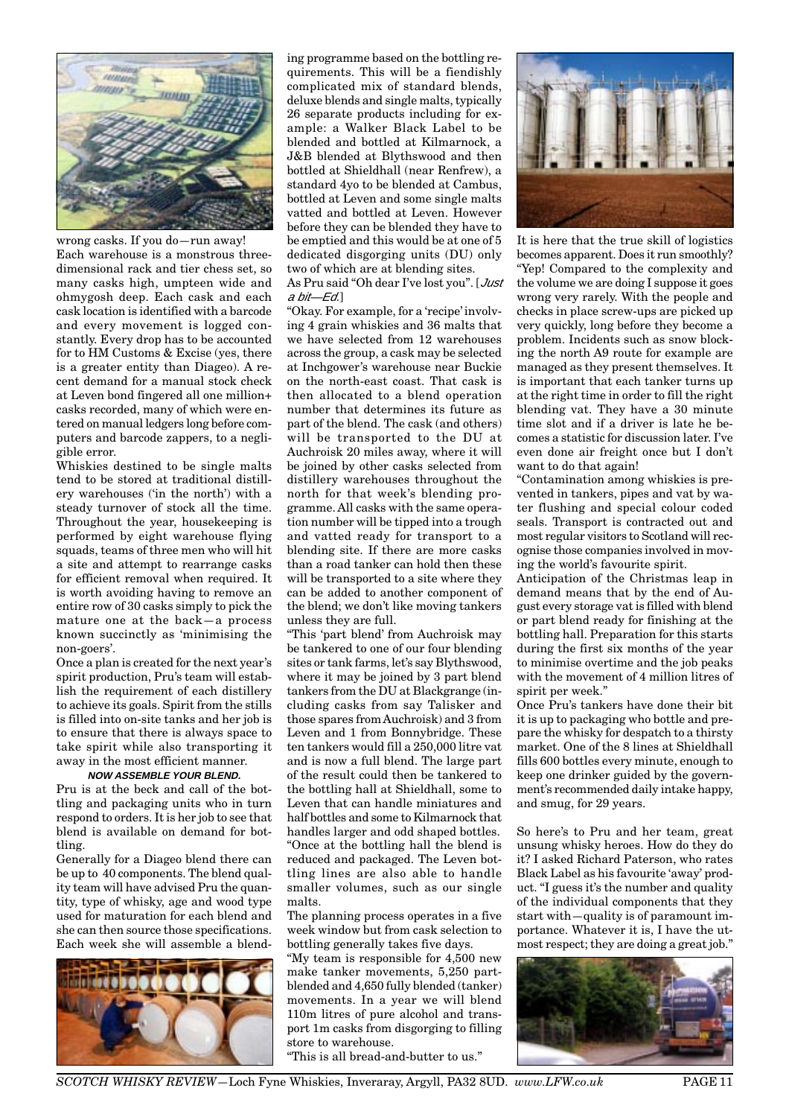

wrong casks. If you do—run away! Each warehouse is a monstrous threedimensional rack and tier chess set, so many casks high, umpteen wide and ohmygosh deep. Each cask and each cask location is identified with a barcode and every movement is logged constantly. Every drop has to be accounted for to HM Customs & Excise (yes, there is a greater entity than Diageo). A recent demand for a manual stock check at Leven bond fingered all one million+ casks recorded, many of which were entered on manual ledgers long before computers and barcode zappers, to a negligible error.

Whiskies destined to be single malts tend to be stored at traditional distillery warehouses ('in the north') with a steady turnover of stock all the time. Throughout the year, housekeeping is performed by eight warehouse flying squads, teams of three men who will hit a site and attempt to rearrange casks for efficient removal when required. It is worth avoiding having to remove an entire row of 30 casks simply to pick the mature one at the back—a process known succinctly as 'minimising the non-goers'.

Once a plan is created for the next year's spirit production, Pru's team will establish the requirement of each distillery to achieve its goals. Spirit from the stills is filled into on-site tanks and her job is to ensure that there is always space to take spirit while also transporting it away in the most efficient manner.

## **NOW ASSEMBLE YOUR BLEND.**

Pru is at the beck and call of the bottling and packaging units who in turn respond to orders. It is her job to see that blend is available on demand for bottling.

Generally for a Diageo blend there can be up to 40 components. The blend quality team will have advised Pru the quantity, type of whisky, age and wood type used for maturation for each blend and she can then source those specifications. Each week she will assemble a blend-



ing programme based on the bottling requirements. This will be a fiendishly complicated mix of standard blends, deluxe blends and single malts, typically 26 separate products including for example: a Walker Black Label to be blended and bottled at Kilmarnock, a J&B blended at Blythswood and then bottled at Shieldhall (near Renfrew), a standard 4yo to be blended at Cambus, bottled at Leven and some single malts vatted and bottled at Leven. However before they can be blended they have to be emptied and this would be at one of 5 dedicated disgorging units (DU) only two of which are at blending sites.

As Pru said "Oh dear I've lost you". [Just a bit—Ed.]

"Okay. For example, for a 'recipe' involving 4 grain whiskies and 36 malts that we have selected from 12 warehouses across the group, a cask may be selected at Inchgower's warehouse near Buckie on the north-east coast. That cask is then allocated to a blend operation number that determines its future as part of the blend. The cask (and others) will be transported to the DU at Auchroisk 20 miles away, where it will be joined by other casks selected from distillery warehouses throughout the north for that week's blending programme. All casks with the same operation number will be tipped into a trough and vatted ready for transport to a blending site. If there are more casks than a road tanker can hold then these will be transported to a site where they can be added to another component of the blend; we don't like moving tankers unless they are full.

"This 'part blend' from Auchroisk may be tankered to one of our four blending sites or tank farms, let's say Blythswood, where it may be joined by 3 part blend tankers from the DU at Blackgrange (including casks from say Talisker and those spares from Auchroisk) and 3 from Leven and 1 from Bonnybridge. These ten tankers would fill a 250,000 litre vat and is now a full blend. The large part of the result could then be tankered to the bottling hall at Shieldhall, some to Leven that can handle miniatures and half bottles and some to Kilmarnock that handles larger and odd shaped bottles. "Once at the bottling hall the blend is reduced and packaged. The Leven bottling lines are also able to handle smaller volumes, such as our single malts.

The planning process operates in a five week window but from cask selection to bottling generally takes five days.

"My team is responsible for 4,500 new make tanker movements, 5,250 partblended and 4,650 fully blended (tanker) movements. In a year we will blend 110m litres of pure alcohol and transport 1m casks from disgorging to filling store to warehouse.

"This is all bread-and-butter to us."



It is here that the true skill of logistics becomes apparent. Does it run smoothly? "Yep! Compared to the complexity and the volume we are doing I suppose it goes wrong very rarely. With the people and checks in place screw-ups are picked up very quickly, long before they become a problem. Incidents such as snow blocking the north A9 route for example are managed as they present themselves. It is important that each tanker turns up at the right time in order to fill the right blending vat. They have a 30 minute time slot and if a driver is late he becomes a statistic for discussion later. I've even done air freight once but I don't want to do that again!

"Contamination among whiskies is prevented in tankers, pipes and vat by water flushing and special colour coded seals. Transport is contracted out and most regular visitors to Scotland will recognise those companies involved in moving the world's favourite spirit.

Anticipation of the Christmas leap in demand means that by the end of August every storage vat is filled with blend or part blend ready for finishing at the bottling hall. Preparation for this starts during the first six months of the year to minimise overtime and the job peaks with the movement of 4 million litres of spirit per week."

Once Pru's tankers have done their bit it is up to packaging who bottle and prepare the whisky for despatch to a thirsty market. One of the 8 lines at Shieldhall fills 600 bottles every minute, enough to keep one drinker guided by the government's recommended daily intake happy, and smug, for 29 years.

So here's to Pru and her team, great unsung whisky heroes. How do they do it? I asked Richard Paterson, who rates Black Label as his favourite 'away' product. "I guess it's the number and quality of the individual components that they start with—quality is of paramount importance. Whatever it is, I have the utmost respect; they are doing a great job."